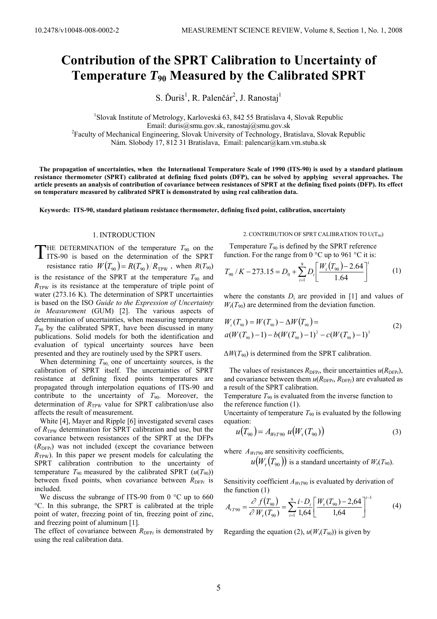# **Contribution of the SPRT Calibration to Uncertainty of Temperature** *T***90 Measured by the Calibrated SPRT**

S. Ďuriš<sup>1</sup>, R. Palenčár<sup>2</sup>, J. Ranostaj<sup>1</sup>

<sup>1</sup>Slovak Institute of Metrology, Karloveská 63, 842 55 Bratislava 4, Slovak Republic Email: duris@smu.gov.sk, ranostaj@smu.gov.sk 2 Faculty of Mechanical Engineering, Slovak University of Technology, Bratislava, Slovak Republic Nám. Slobody 17, 812 31 Bratislava, Email: palencar@kam.vm.stuba.sk

 **The propagation of uncertainties, when the International Temperature Scale of 1990 (ITS-90) is used by a standard platinum resistance thermometer (SPRT) calibrated at defining fixed points (DFP), can be solved by applying several approaches. The article presents an analysis of contribution of covariance between resistances of SPRT at the defining fixed points (DFP). Its effect on temperature measured by calibrated SPRT is demonstrated by using real calibration data.** 

 **Keywords: ITS-90, standard platinum resistance thermometer, defining fixed point, calibration, uncertainty** 

# 1. INTRODUCTION

HE DETERMINATION of the temperature  $T_{90}$  on the THE DETERMINATION of the temperature  $T_{90}$  on the ITS-90 is based on the determination of the SPRT

resistance ratio  $W(T_{90}) = R(T_{90}) / R_{TPW}$ , when  $R(T_{90})$ is the resistance of the SPRT at the temperature  $T_{90}$  and  $R_{\text{TPW}}$  is its resistance at the temperature of triple point of water (273.16 K). The determination of SPRT uncertainties is based on the ISO *Guide to the Expression of Uncertainty in Measurement* (GUM) [2]. The various aspects of determination of uncertainties, when measuring temperature  $T_{90}$  by the calibrated SPRT, have been discussed in many publications. Solid models for both the identification and evaluation of typical uncertainty sources have been presented and they are routinely used by the SPRT users.

When determining  $T_{90}$  one of uncertainty sources, is the calibration of SPRT itself. The uncertainties of SPRT resistance at defining fixed points temperatures are propagated through interpolation equations of ITS-90 and contribute to the uncertainty of  $T_{90}$ . Moreover, the determination of  $R_{TPW}$  value for SPRT calibration/use also affects the result of measurement.

 White [4], Mayer and Ripple [6] investigated several cases of  $R_{TPW}$  determination for SPRT calibration and use, but the covariance between resistances of the SPRT at the DFPs  $(R_{\text{DFP}})$  was not included (except the covariance between  $R_{TPW}$ ). In this paper we present models for calculating the SPRT calibration contribution to the uncertainty of temperature  $T_{90}$  measured by the calibrated SPRT  $(u(T_{90}))$ between fixed points, when covariance between  $R_{\text{DFP}i}$  is included.

We discuss the subrange of ITS-90 from 0 °C up to 660 °C. In this subrange, the SPRT is calibrated at the triple point of water, freezing point of tin, freezing point of zinc, and freezing point of aluminum [1].

The effect of covariance between  $R_{\text{DFP}i}$  is demonstrated by using the real calibration data.

### 2. CONTRIBUTION OF SPRT CALIBRATION TO  $U(T_{90})$

Temperature  $T_{90}$  is defined by the SPRT reference function. For the range from  $0^{\circ}$ C up to 961  $^{\circ}$ C it is:

$$
T_{90} / K - 273.15 = D_0 + \sum_{i=1}^{9} D_i \left[ \frac{W_r(T_{90}) - 2.64}{1.64} \right]^i \tag{1}
$$

where the constants  $D_i$  are provided in [1] and values of  $W_r(T_{90})$  are determined from the deviation function.

$$
W_{r}(T_{90}) = W(T_{90}) - \Delta W(T_{90}) =
$$
  
\n
$$
a(W(T_{90}) - 1) - b(W(T_{90}) - 1)^{2} - c(W(T_{90}) - 1)^{3}
$$
\n(2)

 $\Delta W(T_{90})$  is determined from the SPRT calibration.

The values of resistances  $R_{\text{DFP}i}$ , their uncertainties  $u(R_{\text{DFP}i})$ , and covariance between them  $u(R_{\text{DFP}i}, R_{\text{DFP}j})$  are evaluated as a result of the SPRT calibration.

Temperature  $T_{90}$  is evaluated from the inverse function to the reference function (1).

Uncertainty of temperature  $T_{90}$  is evaluated by the following equation:

$$
u(T_{90}) = A_{WtT90} u(Wr(T_{90}))
$$
\n(3)

where  $A_{WrT90}$  are sensitivity coefficients,

 $u(W_r(T_{90}))$  is a standard uncertainty of  $W_r(T_{90})$ .

Sensitivity coefficient  $A_{WtT90}$  is evaluated by derivation of the function (1)

$$
A_{rT90} = \frac{\partial f(T_{90})}{\partial W_r(T_{90})} = \sum_{i=1}^{9} \frac{i \cdot D_i}{1,64} \left[ \frac{W_r(T_{90}) - 2,64}{1,64} \right]^{i-1}
$$
(4)

Regarding the equation (2),  $u(W_r(T_{90}))$  is given by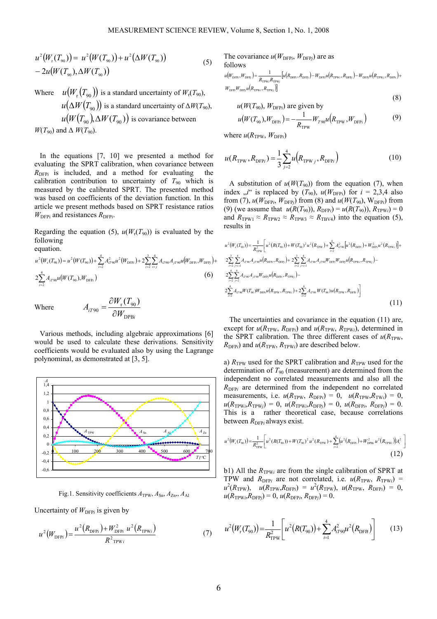$$
u^{2}(W_{r}(T_{90})) = u^{2}(W(T_{90})) + u^{2}(\Delta W(T_{90}))
$$
  
- 2u(W(T\_{90}), \Delta W(T\_{90})) (5)

Where  $u(W_r(T_{90}))$  is a standard uncertainty of  $W_r(T_{90})$ ,  $u(\Delta W(T_{90}))$  is a standard uncertainty of  $\Delta W(T_{90})$ ,  $u(W(T_{90}), \Delta W(T_{90}))$  is covariance between  $W(T_{90})$  and  $\Delta W(T_{90})$ .

 In the equations [7, 10] we presented a method for evaluating the SPRT calibration, when covariance between  $R_{\text{DFPi}}$  is included, and a method for evaluating the calibration contribution to uncertainty of  $T_{90}$  which is measured by the calibrated SPRT. The presented method was based on coefficients of the deviation function. In this article we present methods based on SPRT resistance ratios  $W_{\text{DFPi}}$  and resistances  $R_{\text{DFPi}}$ .

Regarding the equation (5),  $u(W_r(T_{90}))$  is evaluated by the following equation.

$$
u^{2}(W_{r}(T_{90})) = u^{2}(W(T_{90})) + \sum_{i=2}^{4} A_{i}^{2} \omega u^{2}(W_{\text{DFP}i}) + 2 \sum_{i=2}^{3} \sum_{i>j}^{4} A_{i} \omega_{j} A_{j} \omega u \left( W_{\text{DFP}i}, W_{\text{DFP}j} \right) + 2 \sum_{i=2}^{4} A_{i} \omega_{j} u \left( W(T_{90}), W_{\text{DFP}i} \right)
$$
\n
$$
(6)
$$

Where

$$
A_{iT90} = \frac{\partial W_r(T_{90})}{\partial W_{\text{DPBi}}}
$$

 Various methods, including algebraic approximations [6] would be used to calculate these derivations. Sensitivity coefficients would be evaluated also by using the Lagrange polynominal, as demonstrated at [3, 5].

DPB



Fig.1. Sensitivity coefficients  $A_{TPW}$ ,  $A_{Sn}$ ,  $A_{Zn}$ ,  $A_{Al}$ 

Uncertainty of  $W_{\text{DFP}i}$  is given by

$$
u^{2}(W_{\text{DFPi}}) = \frac{u^{2}(R_{\text{DFPi}}) + W_{\text{DFPi}}^{2}}{R^{2} \text{TW}_{i}} \frac{u^{2}(R_{\text{TPWi}})}{(R_{\text{DFPi}})}
$$
(7)

The covariance  $u(W_{\text{DFPi}}, W_{\text{DFPI}})$  are as follows

$$
u(W_{\text{DFP}}, W_{\text{DFP}}) = \frac{1}{R_{\text{TPW}/R_{\text{TPW}}}} [u(R_{\text{DFP}}, R_{\text{DFP}}) - W_{\text{DFP}} u(R_{\text{TPW}/R_{\text{DFP}}}) - W_{\text{DFP}} u(R_{\text{TPW}}, R_{\text{DFP}}) + W_{\text{DFP}} w(R_{\text{TFW}/R_{\text{DFP}}})]
$$
\n
$$
(8)
$$

$$
u(W(T_{90}), W_{\text{DFP}i})
$$
 are given by

$$
u(W(T_{90}), W_{\text{DFPi}}) = -\frac{1}{R_{\text{TPW}}} W_{T90} u(R_{\text{TPW}}, W_{\text{DFPi}})
$$
(9)

where  $u(R_{TPW}, W_{DFPi})$ 

$$
u(R_{\text{TPW}}, R_{\text{DFP}i}) = \frac{1}{3} \sum_{j=2}^{4} u(R_{\text{TPW}j}, R_{\text{DFP}i})
$$
(10)

A substitution of  $u(W(T_{90}))$  from the equation (7), when index  $\mu^{i}$  is replaced by  $(T_{90})$ ,  $u(W_{\text{DFPi}})$  for  $i = 2,3,4$  also from (7),  $u(W_{\text{DFP}i}, W_{\text{DF}Pj})$  from (8) and  $u(W(T_{90}), W_{\text{DF}Pi})$  from (9) (we assume that  $u(R(T_{90}))$ ,  $R_{\text{DF}Pi} = u(R(T_{90}))$ ,  $R_{\text{TPW}i} = 0$ and  $R_{TPW1} \approx R_{TPW2} \approx R_{TPW3} \approx R_{TBV4}$  into the equation (5), results in

$$
u^{2}(W_{r}(T_{90})) = \frac{1}{R_{\text{trw}}^{2}} \left[ u^{2}(R(T_{90})) + W(T_{90})^{2} u^{2}(R_{\text{trw}}) + \sum_{i=2}^{4} A_{i790}^{2} [u^{2}(R_{\text{trw}}) + W_{\text{DFP}}^{2} u^{2}(R_{\text{Trw}})] + 2 \sum_{i=2}^{3} \sum_{j=i+1}^{4} A_{i790} A_{j790} u (R_{\text{DFP}}) + \sum_{i=2}^{3} \sum_{j=i+1}^{4} A_{i790} A_{j790} u (R_{\text{DFP}}) + 2 \sum_{i=2}^{3} \sum_{j=i+1}^{4} A_{i790} A_{j790} W_{\text{DFP}} W_{\text{DFP}} W_{\text{DFP}} u (R_{\text{Trw}}) + R_{\text{Trw}} \right)
$$
  

$$
2 \sum_{i=2}^{4} \sum_{j=2}^{4} A_{i790} A_{j790} W_{\text{DFP}} u (R_{\text{DFP}}) R_{\text{Trw}}) + 2 \sum_{i=2}^{4} A_{i790} W(T_{90}) u (R_{\text{Trw}}) R_{\text{DFP}}) \right]
$$
  

$$
2 \sum_{i=2}^{4} A_{i790} W(T_{90}) W_{\text{DFP}} u (R_{\text{Trw}}) R_{\text{Trw}}) + 2 \sum_{i=2}^{4} A_{i790} W(T_{90}) u (R_{\text{Trw}}) R_{\text{DFP}}) \right]
$$
  
(11)

The uncertainties and covariance in the equation (11) are, except for  $u(R_{TPW}, R_{DFPi})$  and  $u(R_{TPW}, R_{TPWi})$ , determined in the SPRT calibration. The three different cases of  $u(R_{TPW}$ ,  $R_{\text{DFP}i}$ ) and  $u(R_{\text{TPW}}$ ,  $R_{\text{TPW}i}$ ) are described below.

a)  $R_{TPW}$  used for the SPRT calibration and  $R_{TPW}$  used for the determination of  $T_{90}$  (measurement) are determined from the independent no correlated measurements and also all the  $R_{\text{DFPi}}$  are determined from the independent no correlated measurements, i.e.  $u(R_{TPW}, R_{DFPi}) = 0$ ,  $u(R_{TPW}, R_{TWi}) = 0$ ,  $u(R_{TPWi}, R_{TPWj}) = 0$ ,  $u(R_{TPWi}, R_{DFPj}) = 0$ ,  $u(R_{DFPi}, R_{DFPj}) = 0$ . This is a rather theoretical case, because correlations between  $R_{\text{DFP}i}$  always exist.

$$
u^{2}(W_{r}(T_{90})) = \frac{1}{R_{\text{TPW}}^{2}} \left[ u^{2}(R(T_{90})) + W(T_{90})^{2} u^{2}(R_{\text{TPW}}) + \sum_{i=2}^{4} \left( u^{2}(R_{\text{DFP}}) + W_{\text{DFB}i}^{2} u^{2}(R_{\text{TPW}i}) \right) A_{i}^{2} \right]
$$
\n(12)

b1) All the  $R_{TPWi}$  are from the single calibration of SPRT at TPW and  $R_{\text{DFP}i}$  are not correlated, i.e.  $u(R_{\text{TPW}}, R_{\text{TPW}i})$  =  $u^2(R_{\text{TPW}})$ ,  $u(R_{\text{TPW}}R_{\text{DFP}}) = u^2(R_{\text{TPW}})$ ,  $u(R_{\text{TPW}}$ ,  $R_{\text{DFP}}) = 0$ ,  $u(R_{\text{TPW}}/R_{\text{DF}}) = 0$ ,  $u(R_{\text{DF}}/R_{\text{DF}}) = 0$ .

$$
u^{2}(W_{r}(T_{90})) = \frac{1}{R_{\text{TPW}}^{2}} \left[ u^{2}(R(T_{90})) + \sum_{i=1}^{4} A_{i}^{2} \omega_{0} u^{2}(R_{\text{DFR}}) \right]
$$
(13)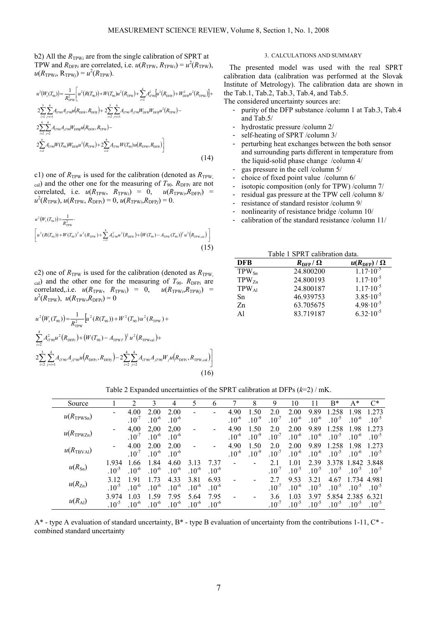b2) All the  $R_{TPWi}$  are from the single calibration of SPRT at TPW and  $R_{\text{DFP}i}$  are correlated, i.e.  $u(R_{\text{TPW}}, R_{\text{TPW}i}) = u^2(R_{\text{TPW}})$ ,  $u(R_{\text{TPW}}; R_{\text{TPW}}) = u^2(R_{\text{TPW}}).$ 

$$
u^{2}(W_{r}(T_{90})) = \frac{1}{R_{\text{TPW}}^{2}} \Big[ u^{2}(R(T_{90})) + W(T_{90})u^{2}(R_{\text{TPW}}) + \sum_{i=2}^{4} A_{i790}^{2} \Big[ u^{2}(R_{\text{DFB}}) + W_{\text{DFB}}^{2} u^{2}(R_{\text{TPW}}) \Big] +
$$
  
\n
$$
2 \sum_{i=2}^{3} \sum_{j=1}^{4} A_{i790} A_{j790} u(R_{\text{DFB}}, R_{\text{DFB}}) + 2 \sum_{i=2}^{3} \sum_{j=1}^{4} A_{i790} A_{j790} W_{\text{DFB}} W_{\text{DFB}} u^{2}(R_{\text{TPW}}) -
$$
  
\n
$$
2 \sum_{i=2}^{4} \sum_{j=2}^{4} A_{i790} A_{j790} W_{\text{DFB}} u(R_{\text{DFB}}, R_{\text{TPW}}) -
$$
  
\n
$$
2 \sum_{i=2}^{4} A_{i790} W(T_{90}) W_{\text{DFB}} u^{2}(R_{\text{TPW}}) + 2 \sum_{i=2}^{4} A_{i790} W(T_{90}) u(R_{\text{TPW}}, R_{\text{DFB}}) \Big]
$$
  
\n(14)

c1) one of  $R_{TPW}$  is used for the calibration (denoted as  $R_{TPW}$ ,  $_{\text{cal}}$ ) and the other one for the measuring of  $T_{90}$ .  $R_{\text{DFP}i}$  are not correlated, i.e.  $u(R_{TPW}, R_{TPWi}) = 0$ ,  $u(R_{TPWi}, R_{DFPi}) =$  $u^2(R_{\text{TPW}})$ ,  $u(R_{\text{TPW}}$ ,  $R_{\text{DFP}i}$ ) = 0,  $u(R_{\text{TPW}i}, R_{\text{DFP}j})$  = 0.

$$
u^{2}(W_{r}(T_{y_{0}})) = \frac{1}{R_{\text{TPW}}^{2}}.
$$
\n
$$
\left[ u^{2}(R(T_{y_{0}})) + W(T_{y_{0}})^{2} u^{2}(R_{\text{TPW}}) + \sum_{i=2}^{4} A_{i\tau y_{0}}^{2} u^{2}(R_{\text{DFF}}) + (W(T_{y_{0}}) - A_{\text{TPW}}(T_{y_{0}}))^{2} u^{2}(R_{\text{TPW,cal}}) \right]
$$
\n(15)

c2) one of  $R_{TPW}$  is used for the calibration (denoted as  $R_{TPW}$ ,  $_{\text{cal}}$ ) and the other one for the measuring of  $T_{90}$ .  $R_{\text{DFP}i}$  are correlated,.i.e.  $u(R_{\text{TPW}}$ ,  $R_{\text{TPW}}$ ) = 0,  $u(R_{\text{TPW}}$ <sub>*i*</sub>, $R_{\text{TPW}}$ <sub>*i*</sub>) =  $u^2(R_{\text{TPW}}), u(R_{\text{TPW}}, R_{\text{DFP}i}) = 0$ 

$$
u^{2}(W_{r}(T_{90})) = \frac{1}{R_{\text{TPW}}^{2}} \Big[ u^{2}(R(T_{90})) + W^{2}(T_{90})u^{2}(R_{\text{TPW}}) + \\ \sum_{i=2}^{4} A_{iT90}^{2} u^{2}(R_{\text{DFF}i}) + (W(T_{90}) - A_{\text{TPWT}})^{2} u^{2}(R_{\text{TPWcal}}) + \\ 2 \sum_{i=2}^{3} \sum_{j=i+1}^{4} A_{iT90} A_{jT90} u(R_{\text{DFF}i}, R_{\text{DFF}j}) - 2 \sum_{i=2}^{4} \sum_{j=2}^{4} A_{iT90} A_{jT90} W_{j} u(R_{\text{DFF}i}, R_{\text{TPW,cal}}) \Big] \tag{16}
$$

#### 3. CALCULATIONS AND SUMMARY

 The presented model was used with the real SPRT calibration data (calibration was performed at the Slovak Institute of Metrology). The calibration data are shown in the Tab.1, Tab.2, Tab.3, Tab.4, and Tab.5.

The considered uncertainty sources are:

- purity of the DFP substance /column 1 at Tab.3, Tab.4 and Tab.5/
- hydrostatic pressure /column 2/
- self-heating of SPRT /column 3/
- perturbing heat exchanges between the both sensor and surrounding parts different in temperature from the liquid-solid phase change /column 4/
- gas pressure in the cell /column 5/
- choice of fixed point value /column 6/
- isotopic composition (only for TPW) /column 7/
- residual gas pressure at the TPW cell /column 8/
- resistance of standard resistor /column 9/
- nonlinearity of resistance bridge /column 10/
- calibration of the standard resistance /column 11/

Table 1 SPRT calibration data.

| <b>DFB</b>     | $R_{\text{DFP}}/\Omega$ | $u(R_{\text{DFP}})/\Omega$ |
|----------------|-------------------------|----------------------------|
| $TPW_{Sn}$     | 24.800200               | $1.17 \cdot 10^{-5}$       |
| $TPW_{Zn}$     | 24.800193               | $1.17 \cdot 10^{-5}$       |
| $TPW_{Al}$     | 24.800187               | $1.17 \cdot 10^{-5}$       |
| Sn             | 46.939753               | $3.85 \cdot 10^{-5}$       |
| Z <sub>n</sub> | 63.705675               | $4.98 \cdot 10^{-5}$       |
| A1             | 83.719187               | $6.32 \cdot 10^{-5}$       |

Table 2 Expanded uncertainties of the SPRT calibration at DFPs (*k*=2) / mK.

| Source                |                          | າ          |            |            |            | 6                        |            | 8          | 9          | 10         |           | $B^*$      | $A^*$      | $C^*$      |
|-----------------------|--------------------------|------------|------------|------------|------------|--------------------------|------------|------------|------------|------------|-----------|------------|------------|------------|
|                       | $\overline{\phantom{a}}$ | 4.00       | 2.00       | 2.00       |            | $\overline{\phantom{a}}$ | 4.90       | 1.50       | 2.0        | 2.00       | 9.89      | .258       | 1.98       | 1 2 7 3    |
| $u(R_{\text{TPWSn}})$ |                          | $10^{-7}$  | $.10^{-6}$ | $.10^{-6}$ |            |                          | $.10^{-6}$ | $.10^{-9}$ | $10^{-7}$  | $.10^{-6}$ | $10^{-6}$ | $.10^{-5}$ | $.10^{-6}$ | $.10^{-5}$ |
|                       |                          | 4,00       | 2,00       | 2,00       |            | $\overline{\phantom{a}}$ | 4.90       | 1.50       | 2.0        | 2.00       | 9.89      | .258       | 1.98       | 1.273      |
| $u(R_{\text{TPWZn}})$ |                          | $.10^{-7}$ | $10^{-6}$  | $.10^{-6}$ |            |                          | $10^{-6}$  | $10^{-9}$  | $10^{-7}$  | $.10^{-6}$ | $10^{-6}$ | $.10^{-5}$ | $10^{-6}$  | $10^{-5}$  |
|                       | $\overline{\phantom{0}}$ | 4.00       | 2.00       | 2.00       |            | $\overline{\phantom{a}}$ | 4.90       | 1.50       | 2.0        | 2.00       | 9.89      | .258       | 1.98       | 1 2 7 3    |
| $u(R_{\text{TBVAl}})$ |                          | $.10^{-7}$ | $10^{-6}$  | $.10^{-6}$ |            |                          | $.10^{-6}$ | $.10^{-9}$ | $10^{-7}$  | $.10^{-6}$ | $10^{-6}$ | $.10^{-5}$ | $.10^{-6}$ | $10^{-5}$  |
|                       | 1.934                    | 1.66       | 1.84       | 4.60       | 3.13       | 7.37                     |            | -          | 2.1        | 1.01       | 2.39      | 3.378      | 1.842      | 3.848      |
| $u(R_{\rm Sn})$       | $10^{-5}$                | $10^{-6}$  | $10^{-6}$  | $.10^{-6}$ | $.10^{-6}$ | $.10^{-6}$               |            |            | $.10^{-7}$ | $10^{-5}$  | $10^{-5}$ | $10^{-5}$  | $10^{-5}$  | $10^{-5}$  |
|                       | 3.12                     | 191        | 1.73       | 4.33       | 3.81       | 6.93                     |            |            | 2.7        | 9.53       | 3.21      | 4.67       | 1.734      | 4.981      |
| $u(R_{\text{Zn}})$    | $10^{-5}$                | $10^{-6}$  | $10^{-6}$  | $.10^{-6}$ | $10^{-6}$  | $.10^{-6}$               |            |            | $.10^{-7}$ | $.10^{-6}$ | $10^{-5}$ | $.10^{-5}$ | $.10^{-5}$ | $10^{-5}$  |
|                       | 3.974                    | 1 03       | 1.59       | 7.95       | 5.64       | 7.95                     |            |            | 3.6        | 1.03       | 3.97      | 5 8 5 4    | 2.385      | 6.321      |
| $u(R_{\rm Al})$       | $.10^{-5}$               | $10^{-6}$  | $10^{-6}$  | $10^{-6}$  | $10^{-6}$  | $.10^{-6}$               |            |            | $10^{-7}$  | $10^{-5}$  | $10^{-5}$ | $10^{-5}$  | $10^{-5}$  | $.10^{-5}$ |

 $A^*$  - type A evaluation of standard uncertainty,  $B^*$  - type B evaluation of uncertainty from the contributions 1-11,  $C^*$  combined standard uncertainty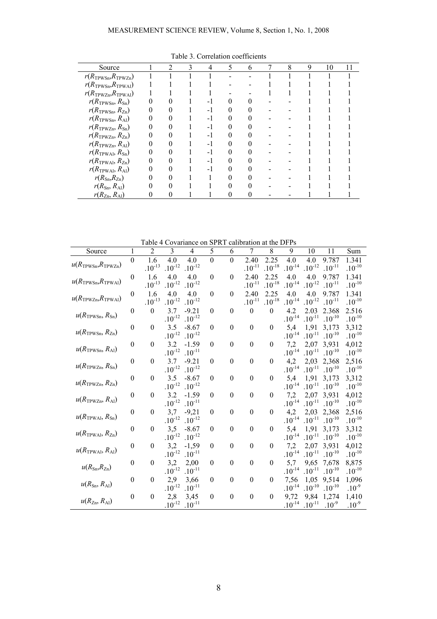| Source                                  | 2 | 3 | 4    | 5 | 6 | 7 | 8 | 9 | 10 | 11 |
|-----------------------------------------|---|---|------|---|---|---|---|---|----|----|
| $r(R_{\text{TPWSn}}, R_{\text{TPWZn}})$ |   |   |      |   |   |   |   |   |    |    |
| $r(R_{\text{TPWSn}}, R_{\text{TPWA1}})$ |   |   |      |   |   |   |   |   |    |    |
| $r(R_{\text{TPWZn}}, R_{\text{TPWAl}})$ |   |   |      |   |   |   |   |   |    |    |
| $r(R_{TPWSn}, R_{Sn})$                  |   |   |      |   |   |   |   |   |    |    |
| $r(R_{\text{TPWSn}}, R_{\text{Zn}})$    |   |   |      |   |   |   |   |   |    |    |
| $r(R_{\text{TPWSn}}, R_{\text{Al}})$    |   |   |      |   |   |   |   |   |    |    |
| $r(R_{\text{TPWZn}}, R_{\text{Sn}})$    |   |   | - 1  |   |   |   |   |   |    |    |
| $r(R_{\text{TPWZn}}, R_{\text{Zn}})$    |   |   | $-1$ |   |   |   |   |   |    |    |
| $r(R_{\text{TPWZn}}, R_{\text{Al}})$    |   |   |      |   |   |   |   |   |    |    |
| $r(R_{TPWAI}, R_{Sn})$                  |   |   | - 1  |   |   |   |   |   |    |    |
| $r(R_{TPWAI}, R_{Zn})$                  |   |   |      |   |   |   |   |   |    |    |
| $r(R_{\text{TPWAI}}, R_{\text{Al}})$    |   |   | - 1  |   |   |   |   |   |    |    |
| $r(R_{\rm Sn}, R_{\rm Zn})$             |   |   |      |   |   |   |   |   |    |    |
| $r(R_{\rm Sn}, R_{\rm Al})$             |   |   |      |   |   |   |   |   |    |    |
| $r(R_{\text{Zn}}, R_{\text{Al}})$       |   |   |      |   |   |   |   |   |    |    |

Table 3. Correlation coefficients

Table 4 Covariance on SPRT calibration at the DFPs

|                                         | Table 4 Covariance on SPRT calibration at the DFPs |                    |                    |                    |                  |                  |                    |                  |                    |                    |                    |                    |
|-----------------------------------------|----------------------------------------------------|--------------------|--------------------|--------------------|------------------|------------------|--------------------|------------------|--------------------|--------------------|--------------------|--------------------|
| Source                                  | $\mathbf{1}$                                       | $\overline{2}$     | 3                  | 4                  | 5                | 6                | 7                  | 8                | 9                  | 10                 | 11                 | Sum                |
|                                         | $\overline{0}$                                     | 1.6                | 4.0                | 4.0                | $\overline{0}$   | $\theta$         | 2.40               | 2.25             | 4.0                | 4.0                | 9.787              | 1.341              |
| $u(R_{\text{TPWSn}}, R_{\text{TPWZn}})$ |                                                    | $.10^{\text{-}13}$ | $.10^{\mbox{-}12}$ | $.10^{\text{-}12}$ |                  |                  | $.10^{\mbox{-}11}$ | $.10^{-18}$      | $.10^{\text{-}14}$ | $.10^{\mbox{-}12}$ | $.10^{-11}$        | $.10^{-10}$        |
|                                         | $\boldsymbol{0}$                                   | 1.6                | 4.0                | 4.0                | $\boldsymbol{0}$ | $\boldsymbol{0}$ | 2.40               | 2.25             | 4.0                | 4.0                | 9.787              | 1.341              |
| $u(R_{\text{TPWSn}}, R_{\text{TPWAI}})$ |                                                    | $.10^{-13}$        | $.10^{-12}$        | $.10^{-12}$        |                  |                  | $.10^{-11}$        | $.10^{-18}$      | $.10^{-14}$        | $.10^{-12}$        | $.10^{-11}$        | $.10^{-10}$        |
|                                         | $\boldsymbol{0}$                                   | 1.6                | 4.0                | 4.0                | $\theta$         | $\boldsymbol{0}$ | 2.40               | 2.25             | 4.0                | 4.0                | 9.787              | 1.341              |
| $u(R_{TPWZn}, R_{TPWAl})$               |                                                    | $.10^{\text{-}13}$ | $.10^{-12}$        | $.10^{-12}$        |                  |                  | $.10^{-11}$        | $.10^{-18}$      | $.10^{-14}$        | $.10^{\text{-}12}$ | $.10^{-11}$        | $.10^{-10}$        |
|                                         | $\boldsymbol{0}$                                   | $\theta$           | 3.7                | $-9.21$            | $\theta$         | $\theta$         | $\boldsymbol{0}$   | $\theta$         | 4.2                | 2.03               | 2.368              | 2.516              |
| $u(R_{\text{TPWSn}}, R_{\text{Sn}})$    |                                                    |                    | $.10^{-12}$        | $.10^{-12}$        |                  |                  |                    |                  | $.10^{-14}$        | $.10^{\mbox{-}11}$ | $.10^{-10}$        | $.10^{-10}$        |
|                                         | $\boldsymbol{0}$                                   | $\boldsymbol{0}$   | 3.5                | $-8.67$            | $\theta$         | $\mathbf{0}$     | $\boldsymbol{0}$   | $\boldsymbol{0}$ | 5,4                | 1,91               | 3,173              | 3,312              |
| $u(R_{TPWSn}, R_{Zn})$                  |                                                    |                    | $.10^{\mbox{-}12}$ | $.10^{-12}$        |                  |                  |                    |                  | $.10^{\text{-}14}$ | $.10^{\mbox{-}11}$ | $.10^{-10}$        | $.10^{\mbox{-}10}$ |
|                                         | $\boldsymbol{0}$                                   | $\theta$           | 3.2                | $-1.59$            | $\theta$         | $\mathbf{0}$     | $\boldsymbol{0}$   | $\boldsymbol{0}$ | 7,2                | 2,07               | 3,931              | 4,012              |
| $u(R_{\text{TPWSn}}, R_{\text{Al}})$    |                                                    |                    | $.10^{-12}$        | $.10^{-11}$        |                  |                  |                    |                  | $.10^{-14}$        | $.10^{-11}$        | $.10^{-10}$        | $.10^{-10}$        |
|                                         | $\boldsymbol{0}$                                   | $\theta$           | 3.7                | $-9.21$            | $\theta$         | $\boldsymbol{0}$ | $\boldsymbol{0}$   | $\boldsymbol{0}$ | 4,2                | 2,03               | 2,368              | 2,516              |
| $u(R_{TPWZn}, R_{Sn})$                  |                                                    |                    | $.10^{-12}$        | $.10^{-12}$        |                  |                  |                    |                  | $.10^{-14}$        | $.10^{\mbox{-}11}$ | $.10^{-10}$        | $.10^{-10}$        |
|                                         | $\boldsymbol{0}$                                   | $\mathbf{0}$       | 3.5                | $-8.67$            | $\theta$         | $\boldsymbol{0}$ | $\boldsymbol{0}$   | $\theta$         | 5,4                | 1,91               | 3,173              | 3,312              |
| $u(R_{TPWZn}, R_{Zn})$                  |                                                    |                    | $.10^{-12}$        | $.10^{-12}$        |                  |                  |                    |                  | $.10^{-14}$        | $.10^{-11}$        | $.10^{-10}$        | $.10^{-10}$        |
|                                         | $\boldsymbol{0}$                                   | $\theta$           | 3.2                | $-1.59$            | $\boldsymbol{0}$ | $\mathbf{0}$     | $\boldsymbol{0}$   | $\boldsymbol{0}$ | 7,2                | 2,07               | 3,931              | 4,012              |
| $u(R_{TPWZn}, R_{Al})$                  |                                                    |                    | $.10^{\mbox{-}12}$ | $.10^{-11}$        |                  |                  |                    |                  | $.10^{-14}$        | $.10^{\mbox{-}11}$ | $.10^{-10}$        | $.10^{\mbox{-}10}$ |
|                                         | $\boldsymbol{0}$                                   | $\mathbf{0}$       | 3,7                | $-9,21$            | $\theta$         | $\boldsymbol{0}$ | $\boldsymbol{0}$   | $\boldsymbol{0}$ | 4,2                | 2,03               | 2,368              | 2,516              |
| $u(R_{TPWAI}, R_{Sn})$                  |                                                    |                    | $.10^{-12}$        | $.10^{-12}$        |                  |                  |                    |                  | $.10^{-14}$        | $.10^{-11}$        | $.10^{-10}$        | $.10^{-10}$        |
|                                         | $\boldsymbol{0}$                                   | $\boldsymbol{0}$   | 3,5                | $-8.67$            | $\theta$         | $\boldsymbol{0}$ | $\boldsymbol{0}$   | $\boldsymbol{0}$ | 5,4                | 1,91               | 3,173              | 3,312              |
| $u(R_{TPWAI}, R_{Zn})$                  |                                                    |                    | $.10^{-12}$        | $.10^{\text{-}12}$ |                  |                  |                    |                  | $.10^{-14}$        | $.10^{\mbox{-}11}$ | $.10^{-10}$        | $.10^{\mbox{-}10}$ |
|                                         | $\boldsymbol{0}$                                   | $\mathbf{0}$       | 3,2                | $-1,59$            | $\theta$         | $\mathbf{0}$     | $\boldsymbol{0}$   | $\theta$         | 7,2                | 2,07               | 3,931              | 4,012              |
| $u(R_{TPWAI}, R_{Al})$                  |                                                    |                    | $.10^{-12}$        | $.10^{-11}$        |                  |                  |                    |                  | $.10^{\text{-}14}$ | $.10^{\mbox{-}11}$ | $.10^{-10}$        | $.10^{\mbox{-}10}$ |
|                                         | $\boldsymbol{0}$                                   | $\boldsymbol{0}$   | 3,2                | 2,00               | $\boldsymbol{0}$ | $\boldsymbol{0}$ | $\boldsymbol{0}$   | $\boldsymbol{0}$ | 5,7                | 9,65               | 7,678              | 8,875              |
| $u(R_{\rm Sn}, R_{\rm Zn})$             |                                                    |                    | $.10^{-12}$        | $.10^{-11}$        |                  |                  |                    |                  | $.10^{\text{-}14}$ | $.10^{-11}$        | $.10^{-10}$        | $.10^{\mbox{-}10}$ |
|                                         | $\boldsymbol{0}$                                   | $\theta$           | 2,9                | 3,66               | $\theta$         | $\mathbf{0}$     | $\boldsymbol{0}$   | $\theta$         | 7,56               | 1,05               | 9,514              | 1,096              |
| $u(R_{\rm Sn}, R_{\rm Al})$             |                                                    |                    | $.10^{-12}$        | $.10^{\text{-}11}$ |                  |                  |                    |                  | $.10^{-14}$        | $.10^{\mbox{-}10}$ | $.10^{\text{-}10}$ | $.10^{-9}$         |
|                                         | $\boldsymbol{0}$                                   | $\boldsymbol{0}$   | 2,8                | 3,45               | $\boldsymbol{0}$ | $\boldsymbol{0}$ | $\boldsymbol{0}$   | $\boldsymbol{0}$ | 9,72               | 9,84               | 1,274              | 1,410              |
| $u(R_{\text{Zn}}, R_{\text{Al}})$       |                                                    |                    | $.10^{-12}$        | $.10^{-11}$        |                  |                  |                    |                  | $.10^{-14}$        | $.10^{-11}$        | $.10^{-9}$         | $.10^{-9}$         |
|                                         |                                                    |                    |                    |                    |                  |                  |                    |                  |                    |                    |                    |                    |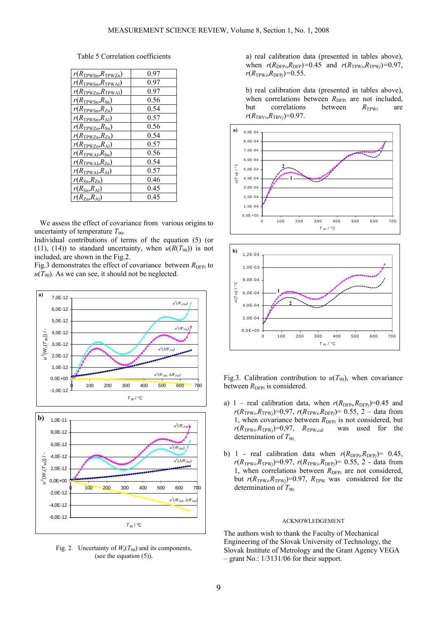Table 5 Correlation coefficients

| $r(R_{\rm TPWSn}, R_{\rm TPWZn})$       | 0.97 |
|-----------------------------------------|------|
| $r(R_{\rm TPWSn},\!R_{\rm TPWA1})$      | 0.97 |
| $r(R_{\text{TPWZn}}, R_{\text{TPWAI}})$ | 0.97 |
| $r(R_{\text{TPWSn}}, R_{\text{Sn}})$    | 0.56 |
| $r(R_{\text{TPWSn}}, R_{\text{Zn}})$    | 0.54 |
| $r(R_{\text{TPWSn}}, R_{\text{Al}})$    | 0.57 |
| $r(R_{\text{TPWZn}}, R_{\text{Sn}})$    | 0.56 |
| $r(R_{\text{TPWZn}}, R_{\text{Zn}})$    | 0.54 |
| $r(R_{\text{TPWZn}}, R_{\text{Al}})$    | 0.57 |
| $r(R_{\text{TPWA1}}, R_{\text{Sn}})$    | 0.56 |
| $r(R_{\text{TPWAI}}, R_{\text{Zn}})$    | 0.54 |
| $r(R_{\text{TPWAI}}, R_{\text{Al}})$    | 0.57 |
| $r(R_{\text{Sn}}, R_{\text{Zn}})$       | 0.46 |
| $r(R_{\rm Sn}, R_{\rm Al})$             | 0.45 |
| $r(R_{\text{Zn}}, R_{\text{Al}})$       | 0.45 |

 We assess the effect of covariance from various origins to uncertainty of temperature  $T_{90}$ .

Individual contributions of terms of the equation (5) (or (11), (14)) to standard uncertainty, when  $u(R(T_{90}))$  is not included, are shown in the Fig.2.

Fig.3 demonstrates the effect of covariance between  $R_{\text{DFP}i}$  to  $u(T_{90})$ . As we can see, it should not be neglected.



Fig. 2. Uncertainty of  $W_r(T_{90})$  and its components, (see the equation (5)).

a) real calibration data (presented in tables above), when  $r(R_{\text{DFP}i}, R_{\text{DFP}}) = 0.45$  and  $r(R_{\text{TPW}i}, R_{\text{TPW}i}) = 0.97$ ,  $r(R_{TPWi}, R_{DFPj}) = 0.55$ .

b) real calibration data (presented in tables above), when correlations between  $R_{\text{DFP}i}$  are not included, but correlations between  $R_{\text{TPW}i}$  are  $r(R_{\text{TBV}i}, R_{\text{TBV}j}) = 0.97$ .





Fig.3. Calibration contribution to  $u(T_{90})$ , when covariance between  $R_{\text{DFPi}}$  is considered.

- a) 1 real calibration data, when  $r(R_{\text{DFP}i}, R_{\text{DFP}j})=0.45$  and  $r(R_{TPWi}, R_{TPWj})=0.97$ ,  $r(R_{TPWi}, R_{DFPj})= 0.55$ , 2 – data from 1, when covariance between  $R_{\text{DFP}i}$  is not considered, but  $r(R_{\text{TPW}_i}, R_{\text{TPW}_i})=0.97$ ,  $R_{\text{TPW}_i,cal}$  was used for the determination of  $T_{90}$
- b) 1 real calibration data when  $r(R_{\text{DFP}i}, R_{\text{DFP}j}) = 0.45$ ,  $r(R_{TPWi}, R_{TPWj})$ =0.97,  $r(R_{TPWi}, R_{DFPj})$ = 0.55, 2 - data from 1, when correlations between  $R_{\text{DFP}i}$  are not considered, but  $r(R_{\text{TPW}i}, R_{\text{TPW}j})=0.97$ ,  $R_{\text{TPW}}$  was considered for the determination of  $T_{90}$

# ACKNOWLEDGEMENT

The authors wish to thank the Faculty of Mechanical Engineering of the Slovak University of Technology, the Slovak Institute of Metrology and the Grant Agency VEGA – grant No.: 1/3131/06 for their support.